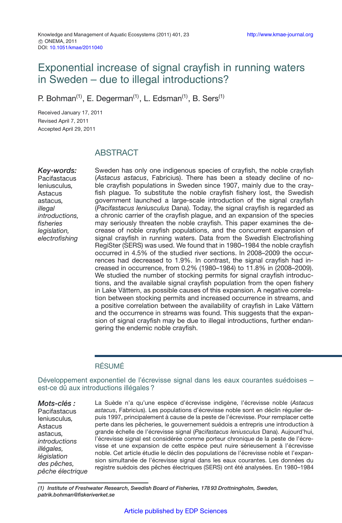# Exponential increase of signal crayfish in running waters in Sweden – due to illegal introductions?

P. Bohman<sup>(1)</sup>, E. Degerman<sup>(1)</sup>, L. Edsman<sup>(1)</sup>, B. Sers<sup>(1)</sup>

Received January 17, 2011 Revised April 7, 2011 Accepted April 29, 2011

# ABSTRACT

*Key-words:* **Pacifastacus** leniusculus*,* Astacus astacus*, illegal introductions, fisheries legislation, electrofishing*

Sweden has only one indigenous species of crayfish, the noble crayfish (*Astacus astacus*, Fabricius). There has been a steady decline of noble crayfish populations in Sweden since 1907, mainly due to the crayfish plague. To substitute the noble crayfish fishery lost, the Swedish government launched a large-scale introduction of the signal crayfish (*Pacifastacus leniusculus* Dana). Today, the signal crayfish is regarded as a chronic carrier of the crayfish plague, and an expansion of the species may seriously threaten the noble crayfish. This paper examines the decrease of noble crayfish populations, and the concurrent expansion of signal crayfish in running waters. Data from the Swedish Electrofishing RegiSter (SERS) was used. We found that in 1980–1984 the noble crayfish occurred in 4.5% of the studied river sections. In 2008–2009 the occurrences had decreased to 1.9%. In contrast, the signal crayfish had increased in occurrence, from 0.2% (1980–1984) to 11.8% in (2008–2009). We studied the number of stocking permits for signal crayfish introductions, and the available signal crayfish population from the open fishery in Lake Vättern, as possible causes of this expansion. A negative correlation between stocking permits and increased occurrence in streams, and a positive correlation between the availability of crayfish in Lake Vättern and the occurrence in streams was found. This suggests that the expansion of signal crayfish may be due to illegal introductions, further endangering the endemic noble crayfish.

### RÉSUMÉ

Développement exponentiel de l'écrevisse signal dans les eaux courantes suédoises – est-ce dû aux introductions illégales ?

*Mots-clés :* **Pacifastacus** leniusculus*,* Astacus astacus*, introductions illégales, législation des pêches, pêche électrique* La Suède n'a qu'une espèce d'écrevisse indigène, l'écrevisse noble (*Astacus astacus*, Fabricius). Les populations d'écrevisse noble sont en déclin régulier depuis 1997, principalement à cause de la peste de l'écrevisse. Pour remplacer cette perte dans les pêcheries, le gouvernement suédois a entrepris une introduction à grande échelle de l'écrevisse signal (*Pacifastacus leniusculus* Dana). Aujourd'hui, l'écrevisse signal est considérée comme porteur chronique de la peste de l'écrevisse et une expansion de cette espèce peut nuire sérieusement à l'écrevisse noble. Cet article étudie le déclin des populations de l'écrevisse noble et l'expansion simultanée de l'écrevisse signal dans les eaux courantes. Les données du registre suédois des pêches électriques (SERS) ont été analysées. En 1980–1984

*(1) Institute of Freshwater Research, Swedish Board of Fisheries, 178 93 Drottningholm, Sweden, patrik.bohman@fiskeriverket.se*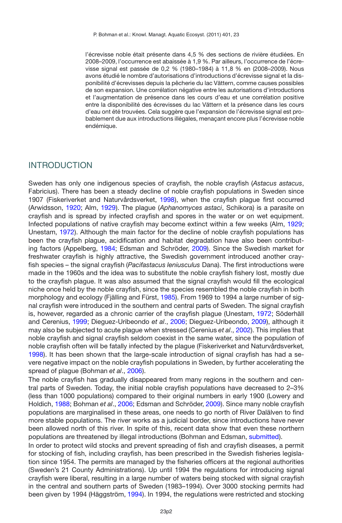l'écrevisse noble était présente dans 4,5 % des sections de rivière étudiées. En 2008–2009, l'occurrence est abaissée à 1,9 %. Par ailleurs, l'occurrence de l'écrevisse signal est passée de 0,2 % (1980–1984) à 11,8 % en (2008–2009). Nous avons étudié le nombre d'autorisations d'introductions d'écrevisse signal et la disponibilité d'écrevisses depuis la pêcherie du lac Vättern, comme causes possibles de son expansion. Une corrélation négative entre les autorisations d'introductions et l'augmentation de présence dans les cours d'eau et une corrélation positive entre la disponibilité des écrevisses du lac Vättern et la présence dans les cours d'eau ont été trouvées. Cela suggère que l'expansion de l'écrevisse signal est probablement due aux introductions illégales, menaçant encore plus l'écrevisse noble endémique.

### INTRODUCTION

Sweden has only one indigenous species of crayfish, the noble crayfish (*Astacus astacus*, Fabricius). There has been a steady decline of noble crayfish populations in Sweden since 1907 (Fiskeriverket and Naturvårdsverket, [1998](#page-6-0)), when the crayfish plague first occurred (Arwidsson, [1920](#page-6-1); Alm, [1929\)](#page-6-2). The plague (*Aphanomyces astaci*, Schikora) is a parasite on crayfish and is spread by infected crayfish and spores in the water or on wet equipment. Infected populations of native crayfish may become extinct within a few weeks (Alm, [1929;](#page-6-2) Unestam, [1972\)](#page-7-0). Although the main factor for the decline of noble crayfish populations has been the crayfish plague, acidification and habitat degradation have also been contributing factors (Appelberg, [1984;](#page-6-3) Edsman and Schröder, [2009\)](#page-6-4). Since the Swedish market for freshwater crayfish is highly attractive, the Swedish government introduced another crayfish species – the signal crayfish (*Pacifastacus leniusculus* Dana). The first introductions were made in the 1960s and the idea was to substitute the noble crayfish fishery lost, mostly due to the crayfish plague. It was also assumed that the signal crayfish would fill the ecological niche once held by the noble crayfish, since the species resembled the noble crayfish in both morphology and ecology (Fjälling and Fürst, [1985\)](#page-6-5). From 1969 to 1994 a large number of signal crayfish were introduced in the southern and central parts of Sweden. The signal crayfish is, however, regarded as a chronic carrier of the crayfish plague (Unestam, [1972](#page-7-0); Söderhäll and Cerenius, [1999](#page-7-1); Dieguez-Uribeondo *et al*., [2006](#page-6-6); Dieguez-Uribeondo, [2009](#page-6-7)), although it may also be subjected to acute plague when stressed (Cerenius *et al*., [2002](#page-6-8)). This implies that noble crayfish and signal crayfish seldom coexist in the same water, since the population of noble crayfish often will be fatally infected by the plague (Fiskeriverket and Naturvårdsverket, [1998\)](#page-6-0). It has been shown that the large-scale introduction of signal crayfish has had a severe negative impact on the noble crayfish populations in Sweden, by further accelerating the spread of plague (Bohman *et al*., [2006](#page-6-9)).

The noble crayfish has gradually disappeared from many regions in the southern and central parts of Sweden. Today, the initial noble crayfish populations have decreased to 2–3% (less than 1000 populations) compared to their original numbers in early 1900 (Lowery and Holdich, [1988](#page-7-2); Bohman *et al*., [2006](#page-6-9); Edsman and Schröder, [2009](#page-6-4)). Since many noble crayfish populations are marginalised in these areas, one needs to go north of River Dalälven to find more stable populations. The river works as a judicial border, since introductions have never been allowed north of this river. In spite of this, recent data show that even these northern populations are threatened by illegal introductions (Bohman and Edsman, [submitted](#page-6-10)).

In order to protect wild stocks and prevent spreading of fish and crayfish diseases, a permit for stocking of fish, including crayfish, has been prescribed in the Swedish fisheries legislation since 1954. The permits are managed by the fisheries officers at the regional authorities (Sweden's 21 County Administrations). Up until 1994 the regulations for introducing signal crayfish were liberal, resulting in a large number of waters being stocked with signal crayfish in the central and southern parts of Sweden (1983–1994). Over 3000 stocking permits had been given by 1994 (Häggström, [1994](#page-7-3)). In 1994, the regulations were restricted and stocking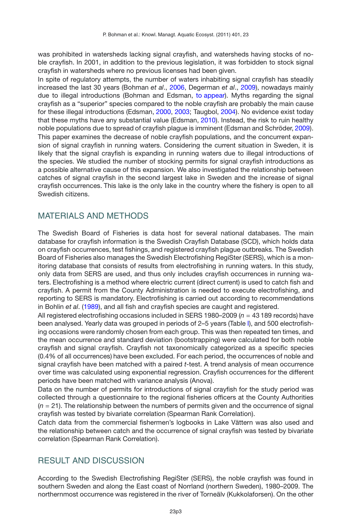was prohibited in watersheds lacking signal crayfish, and watersheds having stocks of noble crayfish. In 2001, in addition to the previous legislation, it was forbidden to stock signal crayfish in watersheds where no previous licenses had been given.

In spite of regulatory attempts, the number of waters inhabiting signal crayfish has steadily increased the last 30 years (Bohman *et al*., [2006](#page-6-9), Degerman *et al*., [2009](#page-6-11)), nowadays mainly due to illegal introductions (Bohman and Edsman, [to appear\)](#page-6-12). Myths regarding the signal crayfish as a "superior" species compared to the noble crayfish are probably the main cause for these illegal introductions (Edsman, [2000](#page-6-13), [2003;](#page-6-14) Taugbol, [2004\)](#page-7-4). No evidence exist today that these myths have any substantial value (Edsman, [2010\)](#page-6-15). Instead, the risk to ruin healthy noble populations due to spread of crayfish plague is imminent (Edsman and Schröder, [2009](#page-6-4)). This paper examines the decrease of noble crayfish populations, and the concurrent expansion of signal crayfish in running waters. Considering the current situation in Sweden, it is likely that the signal crayfish is expanding in running waters due to illegal introductions of the species. We studied the number of stocking permits for signal crayfish introductions as a possible alternative cause of this expansion. We also investigated the relationship between catches of signal crayfish in the second largest lake in Sweden and the increase of signal crayfish occurrences. This lake is the only lake in the country where the fishery is open to all Swedish citizens.

## MATERIALS AND METHODS

The Swedish Board of Fisheries is data host for several national databases. The main database for crayfish information is the Swedish Crayfish Database (SCD), which holds data on crayfish occurrences, test fishings, and registered crayfish plague outbreaks. The Swedish Board of Fisheries also manages the Swedish Electrofishing RegiSter (SERS), which is a monitoring database that consists of results from electrofishing in running waters. In this study, only data from SERS are used, and thus only includes crayfish occurrences in running waters. Electrofishing is a method where electric current (direct current) is used to catch fish and crayfish. A permit from the County Administration is needed to execute electrofishing, and reporting to SERS is mandatory. Electrofishing is carried out according to recommendations in Bohlin *et al*. [\(1989\)](#page-6-16), and all fish and crayfish species are caught and registered.

All registered electrofishing occasions included in SERS 1980–2009 ( $n = 43$  189 records) have been analysed. Yearly data was grouped in periods of 2–5 years (Table [I\)](#page-3-0), and 500 electrofishing occasions were randomly chosen from each group. This was then repeated ten times, and the mean occurrence and standard deviation (bootstrapping) were calculated for both noble crayfish and signal crayfish. Crayfish not taxonomically categorized as a specific species (0.4% of all occurrences) have been excluded. For each period, the occurrences of noble and signal crayfish have been matched with a paired *t*-test. A trend analysis of mean occurrence over time was calculated using exponential regression. Crayfish occurrences for the different periods have been matched with variance analysis (Anova).

Data on the number of permits for introductions of signal crayfish for the study period was collected through a questionnaire to the regional fisheries officers at the County Authorities (*n* = 21). The relationship between the numbers of permits given and the occurrence of signal crayfish was tested by bivariate correlation (Spearman Rank Correlation).

Catch data from the commercial fishermen's logbooks in Lake Vättern was also used and the relationship between catch and the occurrence of signal crayfish was tested by bivariate correlation (Spearman Rank Correlation).

# RESULT AND DISCUSSION

According to the Swedish Electrofishing RegiSter (SERS), the noble crayfish was found in southern Sweden and along the East coast of Norrland (northern Sweden), 1980–2009. The northernmost occurrence was registered in the river of Torneälv (Kukkolaforsen). On the other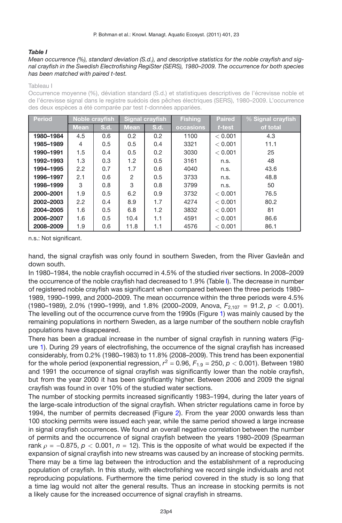#### <span id="page-3-0"></span>*Table I*

#### *Mean occurrence (%), standard deviation (S.d.), and descriptive statistics for the noble crayfish and signal crayfish in the Swedish Electrofishing RegiSter (SERS), 1980–2009. The occurrence for both species has been matched with paired t-test.*

#### Tableau I

Occurrence moyenne (%), déviation standard (S.d.) et statistiques descriptives de l'écrevisse noble et de l'écrevisse signal dans le registre suédois des pêches électriques (SERS), 1980–2009. L'occurrence des deux espèces a été comparée par test *t*-données appariées.

| <b>Period</b> | Noble crayfish |      | <b>Signal crayfish</b> |      | <b>Fishing</b> | <b>Paired</b> | $\%$ Signal crayfish |
|---------------|----------------|------|------------------------|------|----------------|---------------|----------------------|
|               | <b>Mean</b>    | S.d. | Mean,                  | S.d. | occasions      | t-test        | of total             |
| 1980-1984     | 4.5            | 0.6  | 0.2                    | 0.2  | 1100           | < 0.001       | 4.3                  |
| 1985-1989     | 4              | 0.5  | 0.5                    | 0.4  | 3321           | < 0.001       | 11.1                 |
| 1990-1991     | 1.5            | 0.4  | 0.5                    | 0.2  | 3030           | < 0.001       | 25                   |
| 1992-1993     | 1.3            | 0.3  | 1.2                    | 0.5  | 3161           | n.s.          | 48                   |
| 1994-1995     | 2.2            | 0.7  | 1.7                    | 0.6  | 4040           | n.s.          | 43.6                 |
| 1996-1997     | 2.1            | 0.6  | $\overline{2}$         | 0.5  | 3733           | n.s.          | 48.8                 |
| 1998-1999     | 3              | 0.8  | 3                      | 0.8  | 3799           | n.s.          | 50                   |
| 2000-2001     | 1.9            | 0.5  | 6.2                    | 0.9  | 3732           | < 0.001       | 76.5                 |
| 2002-2003     | $2.2^{\circ}$  | 0.4  | 8.9                    | 1.7  | 4274           | < 0.001       | 80.2                 |
| 2004-2005     | 1.6            | 0.5  | 6.8                    | 1.2  | 3832           | < 0.001       | 81                   |
| 2006-2007     | 1.6            | 0.5  | 10.4                   | 1.1  | 4591           | < 0.001       | 86.6                 |
| 2008-2009     | 1.9            | 0.6  | 11.8                   | 1.1  | 4576           | < 0.001       | 86.1                 |

n.s.: Not significant.

hand, the signal crayfish was only found in southern Sweden, from the River Gavleån and down south.

In 1980–1984, the noble crayfish occurred in 4.5% of the studied river sections. In 2008–2009 the occurrence of the noble crayfish had decreased to 1.9% (Table [I\)](#page-3-0). The decrease in number of registered noble crayfish was significant when compared between the three periods 1980– 1989, 1990–1999, and 2000–2009. The mean occurrence within the three periods were 4.5% (1980–1989), 2.0% (1990–1999), and 1.8% (2000–2009, Anova, *F*2,107 = 91.2, *p <* 0.001). The levelling out of the occurrence curve from the 1990s (Figure [1\)](#page-4-0) was mainly caused by the remaining populations in northern Sweden, as a large number of the southern noble crayfish populations have disappeared.

There has been a gradual increase in the number of signal crayfish in running waters (Figure [1\)](#page-4-0). During 29 years of electrofishing, the occurrence of the signal crayfish has increased considerably, from 0.2% (1980–1983) to 11.8% (2008–2009). This trend has been exponential for the whole period (exponential regression,  $r^2 = 0.96$ ,  $F_{1.9} = 250$ ,  $p < 0.001$ ). Between 1980 and 1991 the occurrence of signal crayfish was significantly lower than the noble crayfish, but from the year 2000 it has been significantly higher. Between 2006 and 2009 the signal crayfish was found in over 10% of the studied water sections.

The number of stocking permits increased significantly 1983–1994, during the later years of the large-scale introduction of the signal crayfish. When stricter regulations came in force by 1994, the number of permits decreased (Figure [2\)](#page-4-1). From the year 2000 onwards less than 100 stocking permits were issued each year, while the same period showed a large increase in signal crayfish occurrences. We found an overall negative correlation between the number of permits and the occurrence of signal crayfish between the years 1980–2009 (Spearman rank  $\rho = -0.875$ ,  $p < 0.001$ ,  $n = 12$ ). This is the opposite of what would be expected if the expansion of signal crayfish into new streams was caused by an increase of stocking permits. There may be a time lag between the introduction and the establishment of a reproducing population of crayfish. In this study, with electrofishing we record single individuals and not reproducing populations. Furthermore the time period covered in the study is so long that a time lag would not alter the general results. Thus an increase in stocking permits is not a likely cause for the increased occurrence of signal crayfish in streams.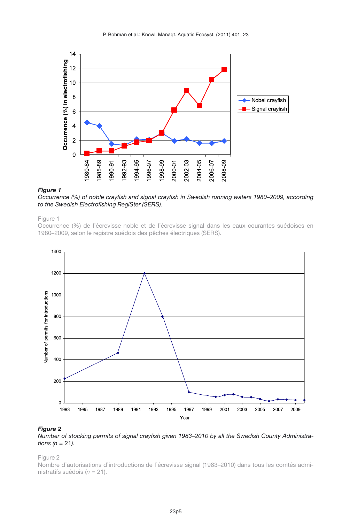<span id="page-4-0"></span>

### *Figure 1*

*Occurrence (%) of noble crayfish and signal crayfish in Swedish running waters 1980–2009, according to the Swedish Electrofishing RegiSter (SERS).*

#### Figure 1

Occurrence (%) de l'écrevisse noble et de l'écrevisse signal dans les eaux courantes suédoises en 1980–2009, selon le registre suédois des pêches électriques (SERS).

<span id="page-4-1"></span>

#### *Figure 2*

*Number of stocking permits of signal crayfish given 1983–2010 by all the Swedish County Administrations (n* = 21*).*

Figure 2

Nombre d'autorisations d'introductions de l'écrevisse signal (1983–2010) dans tous les comtés administratifs suédois (*n* = 21).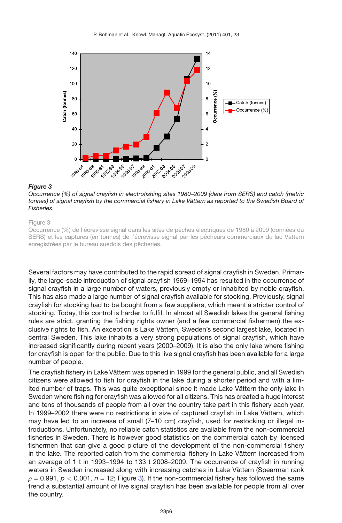<span id="page-5-0"></span>

#### *Figure 3*

*Occurrence (%) of signal crayfish in electrofishing sites 1980–2009 (data from SERS) and catch (metric tonnes) of signal crayfish by the commercial fishery in Lake Vättern as reported to the Swedish Board of Fisheries.*

#### Figure 3

Occurrence (%) de l'écrevisse signal dans les sites de pêches électriques de 1980 à 2009 (données du SERS) et les captures (en tonnes) de l'écrevisse signal par les pêcheurs commerciaux du lac Vättern enregistrées par le bureau suédois des pêcheries.

Several factors may have contributed to the rapid spread of signal crayfish in Sweden. Primarily, the large-scale introduction of signal crayfish 1969–1994 has resulted in the occurrence of signal crayfish in a large number of waters, previously empty or inhabited by noble crayfish. This has also made a large number of signal crayfish available for stocking. Previously, signal crayfish for stocking had to be bought from a few suppliers, which meant a stricter control of stocking. Today, this control is harder to fulfil. In almost all Swedish lakes the general fishing rules are strict, granting the fishing rights owner (and a few commercial fishermen) the exclusive rights to fish. An exception is Lake Vättern, Sweden's second largest lake, located in central Sweden. This lake inhabits a very strong populations of signal crayfish, which have increased significantly during recent years (2000–2009). It is also the only lake where fishing for crayfish is open for the public. Due to this live signal crayfish has been available for a large number of people.

The crayfish fishery in Lake Vättern was opened in 1999 for the general public, and all Swedish citizens were allowed to fish for crayfish in the lake during a shorter period and with a limited number of traps. This was quite exceptional since it made Lake Vättern the only lake in Sweden where fishing for crayfish was allowed for all citizens. This has created a huge interest and tens of thousands of people from all over the country take part in this fishery each year. In 1999–2002 there were no restrictions in size of captured crayfish in Lake Vättern, which may have led to an increase of small (7–10 cm) crayfish, used for restocking or illegal introductions. Unfortunately, no reliable catch statistics are available from the non-commercial fisheries in Sweden. There is however good statistics on the commercial catch by licensed fishermen that can give a good picture of the development of the non-commercial fishery in the lake. The reported catch from the commercial fishery in Lake Vättern increased from an average of 1 t in 1993–1994 to 133 t 2008–2009. The occurrence of crayfish in running waters in Sweden increased along with increasing catches in Lake Vättern (Spearman rank  $\rho$  = 0.991,  $p$  < 0.001,  $n$  = 12; Figure [3\)](#page-5-0). If the non-commercial fishery has followed the same trend a substantial amount of live signal crayfish has been available for people from all over the country.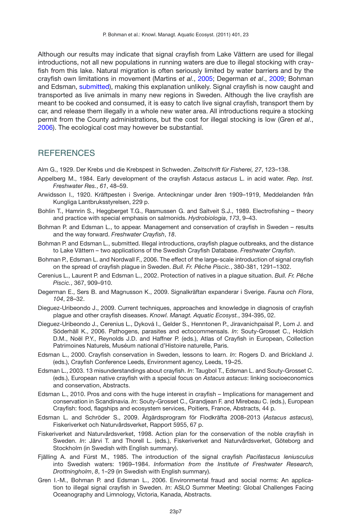Although our results may indicate that signal crayfish from Lake Vättern are used for illegal introductions, not all new populations in running waters are due to illegal stocking with crayfish from this lake. Natural migration is often seriously limited by water barriers and by the crayfish own limitations in movement (Martins *et al*., [2005](#page-7-5); Degerman *et al*., [2009;](#page-6-11) Bohman and Edsman, [submitted](#page-6-10)), making this explanation unlikely. Signal crayfish is now caught and transported as live animals in many new regions in Sweden. Although the live crayfish are meant to be cooked and consumed, it is easy to catch live signal crayfish, transport them by car, and release them illegally in a whole new water area. All introductions require a stocking permit from the County administrations, but the cost for illegal stocking is low (Gren *et al*., [2006\)](#page-6-17). The ecological cost may however be substantial.

### **REFERENCES**

<span id="page-6-2"></span>Alm G., 1929. Der Krebs und die Krebspest in Schweden. *Zeitschrift für Fisherei, 27*, 123–138.

- <span id="page-6-3"></span>Appelberg M., 1984. Early development of the crayfish *Astacus astacus* L. in acid water. *Rep. Inst. Freshwater Res.*, *61*, 48–59.
- <span id="page-6-1"></span>Arwidsson I., 1920. Kräftpesten i Sverige. Anteckningar under åren 1909–1919, Meddelanden från Kungliga Lantbruksstyrelsen, 229 p.
- <span id="page-6-16"></span>Bohlin T., Hamrin S., Heggberget T.G., Rasmussen G. and Saltveit S.J., 1989. Electrofishing – theory and practice with special emphasis on salmonids. *Hydrobiologia*, *173*, 9–43.
- <span id="page-6-12"></span>Bohman P. and Edsman L., to appear. Management and conservation of crayfish in Sweden – results and the way forward. *Freshwater Crayfish*, *18*.
- <span id="page-6-10"></span>Bohman P. and Edsman L., submitted. Illegal introductions, crayfish plague outbreaks, and the distance to Lake Vättern – two applications of the Swedish Crayfish Database. *Freshwater Crayfish*.
- <span id="page-6-9"></span>Bohman P., Edsman L. and Nordwall F., 2006. The effect of the large-scale introduction of signal crayfish on the spread of crayfish plague in Sweden. *Bull. Fr. Pêche Piscic.*, 380-381, 1291–1302.
- <span id="page-6-8"></span>Cerenius L., Laurent P. and Edsman L., 2002. Protection of natives in a plague situation. *Bull. Fr. Pêche Piscic.*, 367, 909–910.
- <span id="page-6-11"></span>Degerman E., Sers B. and Magnusson K., 2009. Signalkräftan expanderar i Sverige. *Fauna och Flora*, *104*, 28–32.
- <span id="page-6-7"></span>Dieguez-Uribeondo J., 2009. Current techniques, approaches and knowledge in diagnosis of crayfish plague and other crayfish diseases. *Knowl. Managt. Aquatic Ecosyst.*, 394-395, 02.
- <span id="page-6-6"></span>Dieguez-Uribeondo J., Cerenius L., Dyková I., Gelder S., Henntonen P., Jiravanichpaisal P., Lom J. and Söderhäll K., 2006. Pathogens, parasites and ectocommensals. *In*: Souty-Grosset C., Holdich D.M., Noël P.Y., Reynolds J.D. and Haffner P. (eds.), Atlas of Crayfish in European, Collection Patrimoines Naturels, Muséum national d'Histoire naturelle, Paris.
- <span id="page-6-13"></span>Edsman L., 2000. Crayfish conservation in Sweden, lessons to learn. *In*: Rogers D. and Brickland J. (eds.), Crayfish Conference Leeds, Environment agency, Leeds, 19–25.
- <span id="page-6-14"></span>Edsman L., 2003. 13 misunderstandings about crayfish. *In*: Taugbol T., Edsman L. and Souty-Grosset C. (eds.), European native crayfish with a special focus on *Astacus astacus*: linking socioeconomics and conservation, Abstracts.
- <span id="page-6-15"></span>Edsman L., 2010. Pros and cons with the huge interest in crayfish – Implications for management and conservation in Scandinavia. *In*: Souty-Grosset C., Grandjean F. and Mirebeau C. (eds.), European Crayfish: food, flagships and ecosystem services, Poitiers, France, Abstracts, 44 p.
- <span id="page-6-4"></span>Edsman L. and Schröder S., 2009. Åtgärdsprogram för Flodkräfta 2008–2013 (*Astacus astacus*), Fiskeriverket och Naturvårdsverket, Rapport 5955, 67 p.
- <span id="page-6-0"></span>Fiskeriverket and Naturvårdsverket, 1998. Action plan for the conservation of the noble crayfish in Sweden. *In*: Järvi T. and Thorell L. (eds.), Fiskeriverket and Naturvårdsverket, Göteborg and Stockholm (in Swedish with English summary).
- <span id="page-6-5"></span>Fjälling A. and Fürst M., 1985. The introduction of the signal crayfish *Pacifastacus leniusculus* into Swedish waters: 1969–1984. *Information from the Institute of Freshwater Research, Drottningholm*, *8*, 1–29 (in Swedish with English summary).
- <span id="page-6-17"></span>Gren I.-M., Bohman P. and Edsman L., 2006. Environmental fraud and social norms: An application to illegal signal crayfish in Sweden. *In*: ASLO Summer Meeting: Global Challenges Facing Oceanography and Limnology, Victoria, Kanada, Abstracts.